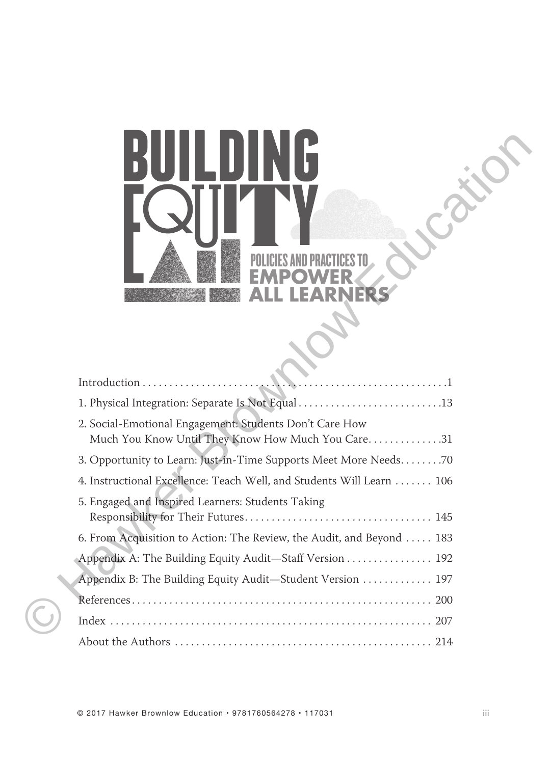# POLICIES AND PRACTICES TO **EMPOWER AWER**

| 1. Physical Integration: Separate Is Not Equal 13                                                            |
|--------------------------------------------------------------------------------------------------------------|
| 2. Social-Emotional Engagement: Students Don't Care How<br>Much You Know Until They Know How Much You Care31 |
| 3. Opportunity to Learn: Just-in-Time Supports Meet More Needs. 70                                           |
| 4. Instructional Excellence: Teach Well, and Students Will Learn  106                                        |
| 5. Engaged and Inspired Learners: Students Taking                                                            |
| 6. From Acquisition to Action: The Review, the Audit, and Beyond  183                                        |
| Appendix A: The Building Equity Audit-Staff Version  192                                                     |
| Appendix B: The Building Equity Audit-Student Version  197                                                   |
|                                                                                                              |
|                                                                                                              |
|                                                                                                              |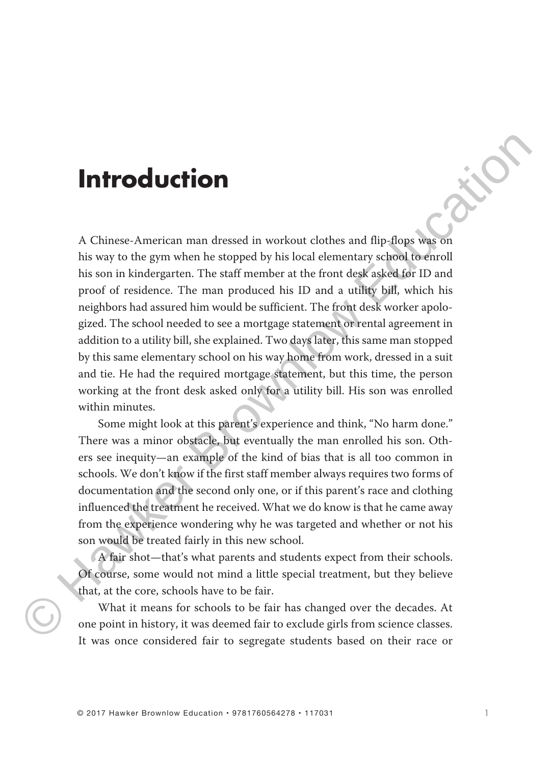## **Introduction**

A Chinese-American man dressed in workout clothes and flip-flops was on his way to the gym when he stopped by his local elementary school to enroll his son in kindergarten. The staff member at the front desk asked for ID and proof of residence. The man produced his ID and a utility bill, which his neighbors had assured him would be sufficient. The front desk worker apologized. The school needed to see a mortgage statement or rental agreement in addition to a utility bill, she explained. Two days later, this same man stopped by this same elementary school on his way home from work, dressed in a suit and tie. He had the required mortgage statement, but this time, the person working at the front desk asked only for a utility bill. His son was enrolled within minutes. **Introduction**<br>
A Chinese-American man drased in workout clothes and flip-flops weather<br>
As way to the gran when he stopped by his local elementary school to encol<br>
his son in kindergaren. The staff member at the front de

Some might look at this parent's experience and think, "No harm done." There was a minor obstacle, but eventually the man enrolled his son. Others see inequity—an example of the kind of bias that is all too common in schools. We don't know if the first staff member always requires two forms of documentation and the second only one, or if this parent's race and clothing influenced the treatment he received. What we do know is that he came away from the experience wondering why he was targeted and whether or not his son would be treated fairly in this new school.

A fair shot—that's what parents and students expect from their schools. Of course, some would not mind a little special treatment, but they believe that, at the core, schools have to be fair.

What it means for schools to be fair has changed over the decades. At one point in history, it was deemed fair to exclude girls from science classes. It was once considered fair to segregate students based on their race or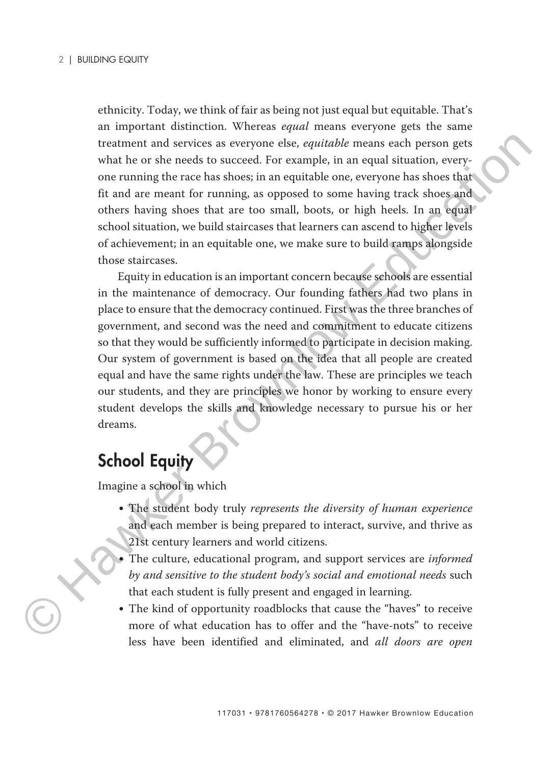ethnicity. Today, we think of fair as being not just equal but equitable. That's an important distinction. Whereas *equal* means everyone gets the same treatment and services as everyone else, *equitable* means each person gets what he or she needs to succeed. For example, in an equal situation, everyone running the race has shoes; in an equitable one, everyone has shoes that fit and are meant for running, as opposed to some having track shoes and others having shoes that are too small, boots, or high heels. In an equal school situation, we build staircases that learners can ascend to higher levels of achievement; in an equitable one, we make sure to build ramps alongside those staircases.

Equity in education is an important concern because schools are essential in the maintenance of democracy. Our founding fathers had two plans in place to ensure that the democracy continued. First was the three branches of government, and second was the need and commitment to educate citizens so that they would be sufficiently informed to participate in decision making. Our system of government is based on the idea that all people are created equal and have the same rights under the law. These are principles we teach our students, and they are principles we honor by working to ensure every student develops the skills and knowledge necessary to pursue his or her dreams. treatment and services as everyone else, *equitable* means each person gets<br>what he us she needs to succeed. For example, in an equal situation, every<br>one running the race has shoess in an equitable one, everyone has shoe

## **School Equity**

Imagine a school in which

- The student body truly *represents the diversity of human experience* and each member is being prepared to interact, survive, and thrive as 21st century learners and world citizens.
- The culture, educational program, and support services are *informed by and sensitive to the student body's social and emotional needs* such that each student is fully present and engaged in learning.
- The kind of opportunity roadblocks that cause the "haves" to receive more of what education has to offer and the "have-nots" to receive less have been identified and eliminated, and *all doors are open*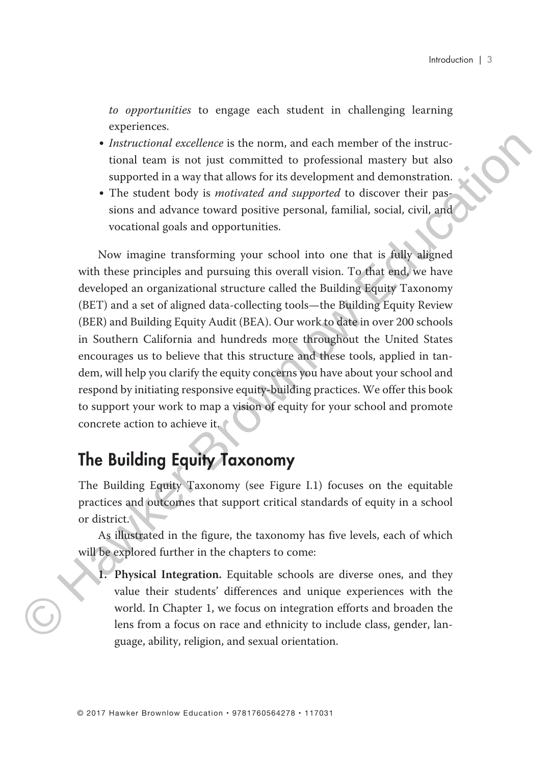*to opportunities* to engage each student in challenging learning experiences.

- *Instructional excellence* is the norm, and each member of the instructional team is not just committed to professional mastery but also supported in a way that allows for its development and demonstration.
- The student body is *motivated and supported* to discover their passions and advance toward positive personal, familial, social, civil, and vocational goals and opportunities.

Now imagine transforming your school into one that is fully aligned with these principles and pursuing this overall vision. To that end, we have developed an organizational structure called the Building Equity Taxonomy (BET) and a set of aligned data-collecting tools—the Building Equity Review (BER) and Building Equity Audit (BEA). Our work to date in over 200 schools in Southern California and hundreds more throughout the United States encourages us to believe that this structure and these tools, applied in tandem, will help you clarify the equity concerns you have about your school and respond by initiating responsive equity-building practices. We offer this book to support your work to map a vision of equity for your school and promote concrete action to achieve it. • Instructional excellence is the norm, and each member of the instructional carrier is not just committed to professional master but also simported in a way is motivated and supported to discover their passions and advan

## **The Building Equity Taxonomy**

The Building Equity Taxonomy (see Figure I.1) focuses on the equitable practices and outcomes that support critical standards of equity in a school or district.

As illustrated in the figure, the taxonomy has five levels, each of which will be explored further in the chapters to come:

**1. Physical Integration.** Equitable schools are diverse ones, and they value their students' differences and unique experiences with the world. In Chapter 1, we focus on integration efforts and broaden the lens from a focus on race and ethnicity to include class, gender, language, ability, religion, and sexual orientation.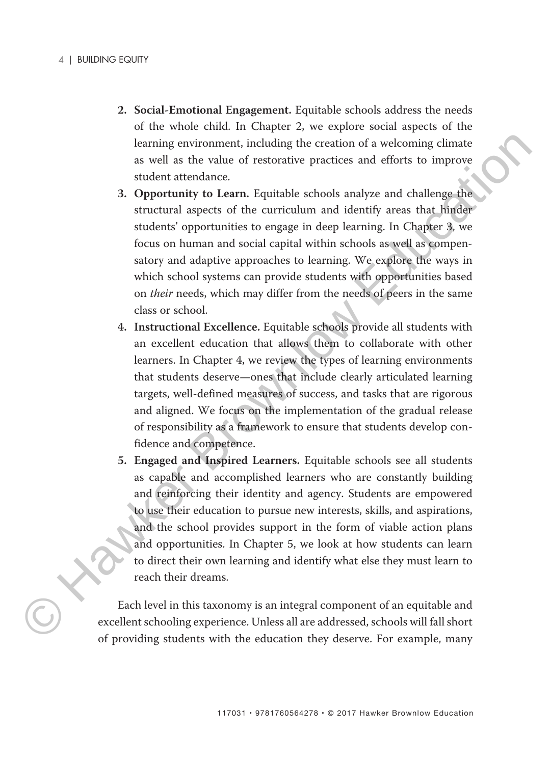- **2. Social-Emotional Engagement.** Equitable schools address the needs of the whole child. In Chapter 2, we explore social aspects of the learning environment, including the creation of a welcoming climate as well as the value of restorative practices and efforts to improve student attendance.
- **3. Opportunity to Learn.** Equitable schools analyze and challenge the structural aspects of the curriculum and identify areas that hinder students' opportunities to engage in deep learning. In Chapter 3, we focus on human and social capital within schools as well as compensatory and adaptive approaches to learning. We explore the ways in which school systems can provide students with opportunities based on *their* needs, which may differ from the needs of peers in the same class or school.
- **4. Instructional Excellence.** Equitable schools provide all students with an excellent education that allows them to collaborate with other learners. In Chapter 4, we review the types of learning environments that students deserve—ones that include clearly articulated learning targets, well-defined measures of success, and tasks that are rigorous and aligned. We focus on the implementation of the gradual release of responsibility as a framework to ensure that students develop confidence and competence.
- **5. Engaged and Inspired Learners.** Equitable schools see all students as capable and accomplished learners who are constantly building and reinforcing their identity and agency. Students are empowered to use their education to pursue new interests, skills, and aspirations, and the school provides support in the form of viable action plans and opportunities. In Chapter 5, we look at how students can learn to direct their own learning and identify what else they must learn to reach their dreams. learning environment, including the creation of a welcoming dimate<br>
as well as the value of restorative practices and efforts to improve<br>
student attendance.<br>
3. Opportunity to Learn. Equitable solonols analyze and challe

Each level in this taxonomy is an integral component of an equitable and excellent schooling experience. Unless all are addressed, schools will fall short of providing students with the education they deserve. For example, many